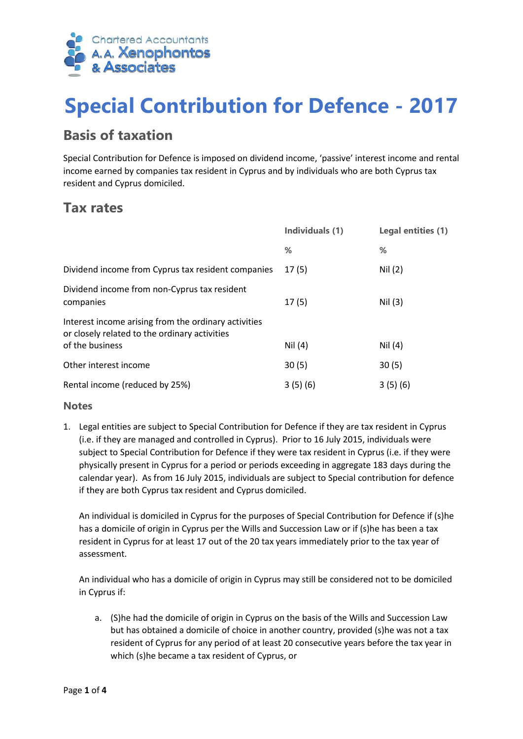

# **Special Contribution for Defence - 2017**

### **Basis of taxation**

Special Contribution for Defence is imposed on dividend income, 'passive' interest income and rental income earned by companies tax resident in Cyprus and by individuals who are both Cyprus tax resident and Cyprus domiciled.

#### **Tax rates**

|                                                                                                       | Individuals (1) | Legal entities (1) |
|-------------------------------------------------------------------------------------------------------|-----------------|--------------------|
|                                                                                                       | %               | ℅                  |
| Dividend income from Cyprus tax resident companies                                                    | 17(5)           | Nil (2)            |
| Dividend income from non-Cyprus tax resident<br>companies                                             | 17(5)           | Nil (3)            |
| Interest income arising from the ordinary activities<br>or closely related to the ordinary activities |                 |                    |
| of the business                                                                                       | Nil $(4)$       | Nil $(4)$          |
| Other interest income                                                                                 | 30(5)           | 30(5)              |
| Rental income (reduced by 25%)                                                                        | 3(5)(6)         | 3(5)(6)            |

#### **Notes**

1. Legal entities are subject to Special Contribution for Defence if they are tax resident in Cyprus (i.e. if they are managed and controlled in Cyprus). Prior to 16 July 2015, individuals were subject to Special Contribution for Defence if they were tax resident in Cyprus (i.e. if they were physically present in Cyprus for a period or periods exceeding in aggregate 183 days during the calendar year). As from 16 July 2015, individuals are subject to Special contribution for defence if they are both Cyprus tax resident and Cyprus domiciled.

An individual is domiciled in Cyprus for the purposes of Special Contribution for Defence if (s)he has a domicile of origin in Cyprus per the Wills and Succession Law or if (s)he has been a tax resident in Cyprus for at least 17 out of the 20 tax years immediately prior to the tax year of assessment.

An individual who has a domicile of origin in Cyprus may still be considered not to be domiciled in Cyprus if:

a. (S)he had the domicile of origin in Cyprus on the basis of the Wills and Succession Law but has obtained a domicile of choice in another country, provided (s)he was not a tax resident of Cyprus for any period of at least 20 consecutive years before the tax year in which (s)he became a tax resident of Cyprus, or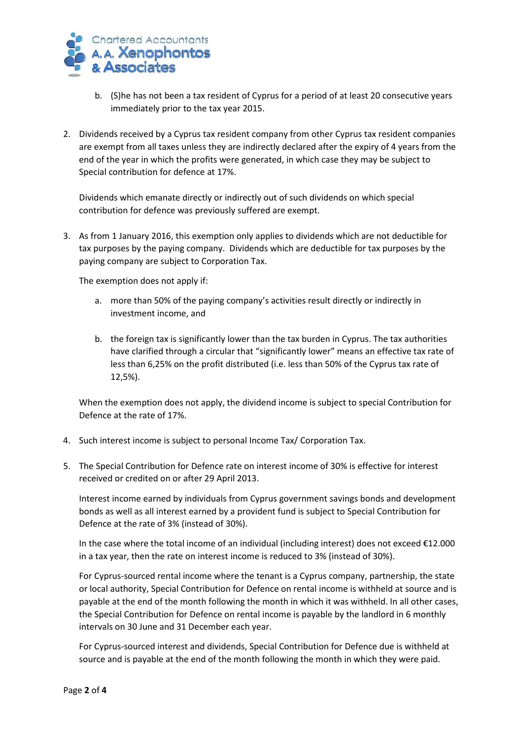

- b. (S)he has not been a tax resident of Cyprus for a period of at least 20 consecutive years immediately prior to the tax year 2015.
- 2. Dividends received by a Cyprus tax resident company from other Cyprus tax resident companies are exempt from all taxes unless they are indirectly declared after the expiry of 4 years from the end of the year in which the profits were generated, in which case they may be subject to Special contribution for defence at 17%.

Dividends which emanate directly or indirectly out of such dividends on which special contribution for defence was previously suffered are exempt.

3. As from 1 January 2016, this exemption only applies to dividends which are not deductible for tax purposes by the paying company. Dividends which are deductible for tax purposes by the paying company are subject to Corporation Tax.

The exemption does not apply if:

- a. more than 50% of the paying company's activities result directly or indirectly in investment income, and
- b. the foreign tax is significantly lower than the tax burden in Cyprus. The tax authorities have clarified through a circular that "significantly lower" means an effective tax rate of less than 6,25% on the profit distributed (i.e. less than 50% of the Cyprus tax rate of 12,5%).

When the exemption does not apply, the dividend income is subject to special Contribution for Defence at the rate of 17%.

- 4. Such interest income is subject to personal Income Tax/ Corporation Tax.
- 5. The Special Contribution for Defence rate on interest income of 30% is effective for interest received or credited on or after 29 April 2013.

Interest income earned by individuals from Cyprus government savings bonds and development bonds as well as all interest earned by a provident fund is subject to Special Contribution for Defence at the rate of 3% (instead of 30%).

In the case where the total income of an individual (including interest) does not exceed €12.000 in a tax year, then the rate on interest income is reduced to 3% (instead of 30%).

For Cyprus-sourced rental income where the tenant is a Cyprus company, partnership, the state or local authority, Special Contribution for Defence on rental income is withheld at source and is payable at the end of the month following the month in which it was withheld. In all other cases, the Special Contribution for Defence on rental income is payable by the landlord in 6 monthly intervals on 30 June and 31 December each year.

For Cyprus-sourced interest and dividends, Special Contribution for Defence due is withheld at source and is payable at the end of the month following the month in which they were paid.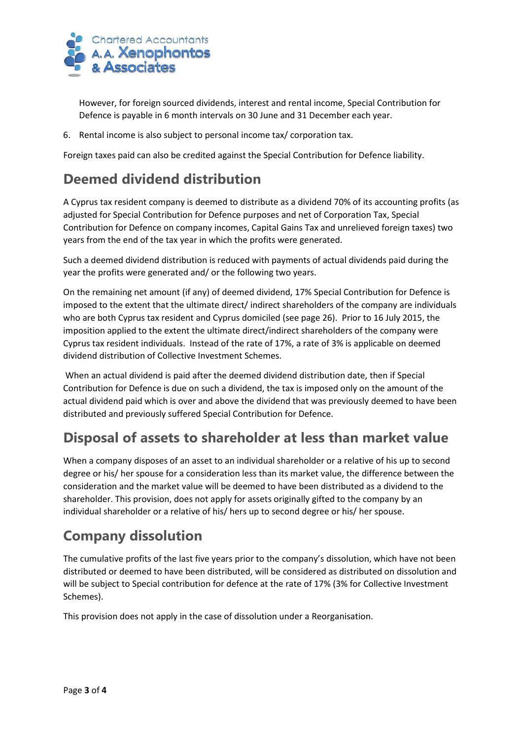

However, for foreign sourced dividends, interest and rental income, Special Contribution for Defence is payable in 6 month intervals on 30 June and 31 December each year.

6. Rental income is also subject to personal income tax/ corporation tax.

Foreign taxes paid can also be credited against the Special Contribution for Defence liability.

# **Deemed dividend distribution**

A Cyprus tax resident company is deemed to distribute as a dividend 70% of its accounting profits (as adjusted for Special Contribution for Defence purposes and net of Corporation Tax, Special Contribution for Defence on company incomes, Capital Gains Tax and unrelieved foreign taxes) two years from the end of the tax year in which the profits were generated.

Such a deemed dividend distribution is reduced with payments of actual dividends paid during the year the profits were generated and/ or the following two years.

On the remaining net amount (if any) of deemed dividend, 17% Special Contribution for Defence is imposed to the extent that the ultimate direct/ indirect shareholders of the company are individuals who are both Cyprus tax resident and Cyprus domiciled (see page 26). Prior to 16 July 2015, the imposition applied to the extent the ultimate direct/indirect shareholders of the company were Cyprus tax resident individuals. Instead of the rate of 17%, a rate of 3% is applicable on deemed dividend distribution of Collective Investment Schemes.

When an actual dividend is paid after the deemed dividend distribution date, then if Special Contribution for Defence is due on such a dividend, the tax is imposed only on the amount of the actual dividend paid which is over and above the dividend that was previously deemed to have been distributed and previously suffered Special Contribution for Defence.

# **Disposal of assets to shareholder at less than market value**

When a company disposes of an asset to an individual shareholder or a relative of his up to second degree or his/ her spouse for a consideration less than its market value, the difference between the consideration and the market value will be deemed to have been distributed as a dividend to the shareholder. This provision, does not apply for assets originally gifted to the company by an individual shareholder or a relative of his/ hers up to second degree or his/ her spouse.

# **Company dissolution**

The cumulative profits of the last five years prior to the company's dissolution, which have not been distributed or deemed to have been distributed, will be considered as distributed on dissolution and will be subject to Special contribution for defence at the rate of 17% (3% for Collective Investment Schemes).

This provision does not apply in the case of dissolution under a Reorganisation.